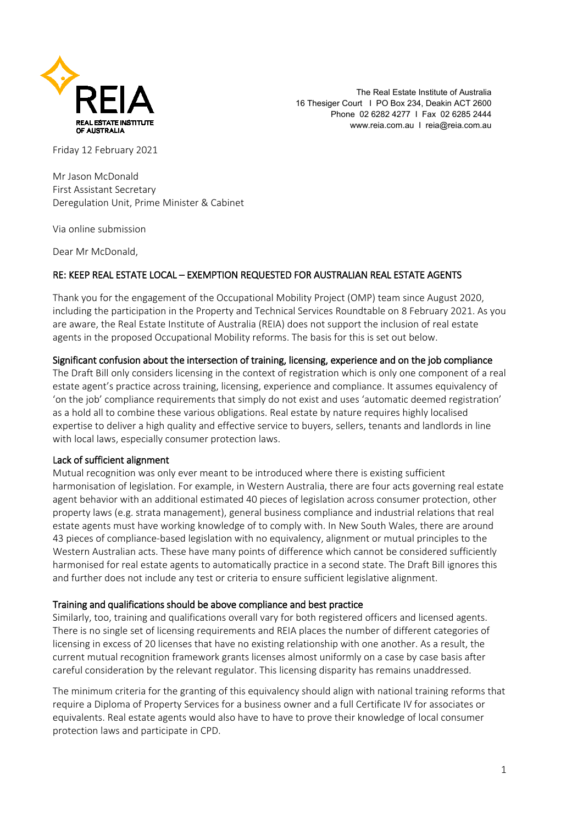

The Real Estate Institute of Australia 16 Thesiger Court I PO Box 234, Deakin ACT 2600 Phone 02 6282 4277 I Fax 02 6285 2444 www.reia.com.au I reia@reia.com.au

Friday 12 February 2021

Mr Jason McDonald First Assistant Secretary Deregulation Unit, Prime Minister & Cabinet

Via online submission

Dear Mr McDonald,

## RE: KEEP REAL ESTATE LOCAL – EXEMPTION REQUESTED FOR AUSTRALIAN REAL ESTATE AGENTS

Thank you for the engagement of the Occupational Mobility Project (OMP) team since August 2020, including the participation in the Property and Technical Services Roundtable on 8 February 2021. As you are aware, the Real Estate Institute of Australia (REIA) does not support the inclusion of real estate agents in the proposed Occupational Mobility reforms. The basis for this is set out below.

#### Significant confusion about the intersection of training, licensing, experience and on the job compliance

The Draft Bill only considers licensing in the context of registration which is only one component of a real estate agent's practice across training, licensing, experience and compliance. It assumes equivalency of 'on the job' compliance requirements that simply do not exist and uses 'automatic deemed registration' as a hold all to combine these various obligations. Real estate by nature requires highly localised expertise to deliver a high quality and effective service to buyers, sellers, tenants and landlords in line with local laws, especially consumer protection laws.

#### Lack of sufficient alignment

Mutual recognition was only ever meant to be introduced where there is existing sufficient harmonisation of legislation. For example, in Western Australia, there are four acts governing real estate agent behavior with an additional estimated 40 pieces of legislation across consumer protection, other property laws (e.g. strata management), general business compliance and industrial relations that real estate agents must have working knowledge of to comply with. In New South Wales, there are around 43 pieces of compliance-based legislation with no equivalency, alignment or mutual principles to the Western Australian acts. These have many points of difference which cannot be considered sufficiently harmonised for real estate agents to automatically practice in a second state. The Draft Bill ignores this and further does not include any test or criteria to ensure sufficient legislative alignment.

#### Training and qualifications should be above compliance and best practice

Similarly, too, training and qualifications overall vary for both registered officers and licensed agents. There is no single set of licensing requirements and REIA places the number of different categories of licensing in excess of 20 licenses that have no existing relationship with one another. As a result, the current mutual recognition framework grants licenses almost uniformly on a case by case basis after careful consideration by the relevant regulator. This licensing disparity has remains unaddressed.

The minimum criteria for the granting of this equivalency should align with national training reforms that require a Diploma of Property Services for a business owner and a full Certificate IV for associates or equivalents. Real estate agents would also have to have to prove their knowledge of local consumer protection laws and participate in CPD.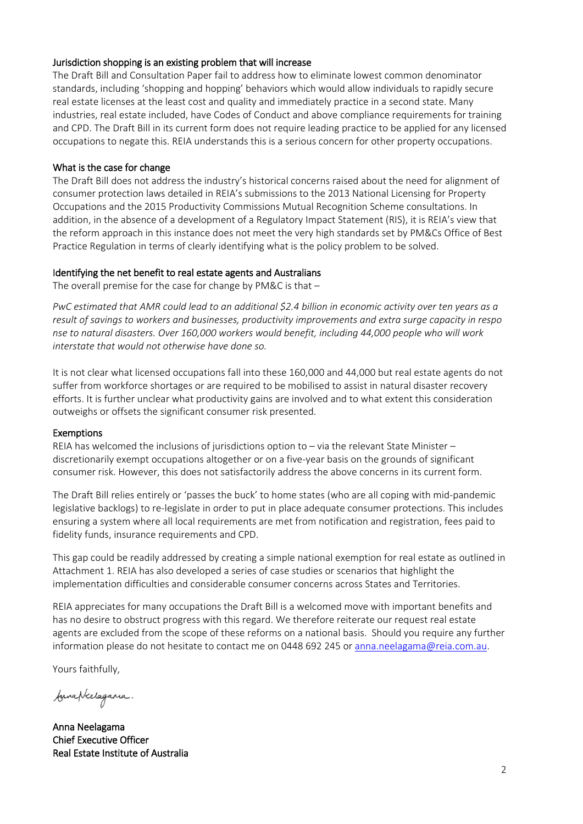## Jurisdiction shopping is an existing problem that will increase

The Draft Bill and Consultation Paper fail to address how to eliminate lowest common denominator standards, including 'shopping and hopping' behaviors which would allow individuals to rapidly secure real estate licenses at the least cost and quality and immediately practice in a second state. Many industries, real estate included, have Codes of Conduct and above compliance requirements for training and CPD. The Draft Bill in its current form does not require leading practice to be applied for any licensed occupations to negate this. REIA understands this is a serious concern for other property occupations.

## What is the case for change

The Draft Bill does not address the industry's historical concerns raised about the need for alignment of consumer protection laws detailed in REIA's submissions to the 2013 National Licensing for Property Occupations and the 2015 Productivity Commissions Mutual Recognition Scheme consultations. In addition, in the absence of a development of a Regulatory Impact Statement (RIS), it is REIA's view that the reform approach in this instance does not meet the very high standards set by PM&Cs Office of Best Practice Regulation in terms of clearly identifying what is the policy problem to be solved.

## Identifying the net benefit to real estate agents and Australians

The overall premise for the case for change by PM&C is that –

PwC estimated that AMR could lead to an additional \$2.4 billion in economic activity over ten years as a *result of savings to workers and businesses, productivity improvements and extra surge capacity in respo nse to natural disasters. Over 160,000 workers would benefit, including 44,000 people who will work interstate that would not otherwise have done so.*

It is not clear what licensed occupations fall into these 160,000 and 44,000 but real estate agents do not suffer from workforce shortages or are required to be mobilised to assist in natural disaster recovery efforts. It is further unclear what productivity gains are involved and to what extent this consideration outweighs or offsets the significant consumer risk presented.

#### Exemptions

REIA has welcomed the inclusions of jurisdictions option to – via the relevant State Minister – discretionarily exempt occupations altogether or on a five-year basis on the grounds of significant consumer risk. However, this does not satisfactorily address the above concerns in its current form.

The Draft Bill relies entirely or 'passes the buck' to home states (who are all coping with mid-pandemic legislative backlogs) to re-legislate in order to put in place adequate consumer protections. This includes ensuring a system where all local requirements are met from notification and registration, fees paid to fidelity funds, insurance requirements and CPD.

This gap could be readily addressed by creating a simple national exemption for real estate as outlined in Attachment 1. REIA has also developed a series of case studies or scenarios that highlight the implementation difficulties and considerable consumer concerns across States and Territories.

REIA appreciates for many occupations the Draft Bill is a welcomed move with important benefits and has no desire to obstruct progress with this regard. We therefore reiterate our request real estate agents are excluded from the scope of these reforms on a national basis. Should you require any further information please do not hesitate to contact me on 0448 692 245 o[r anna.neelagama@reia.com.au.](mailto:anna.neelagama@reia.com.au)

Yours faithfully,

funaptechagama.

Anna Neelagama Chief Executive Officer Real Estate Institute of Australia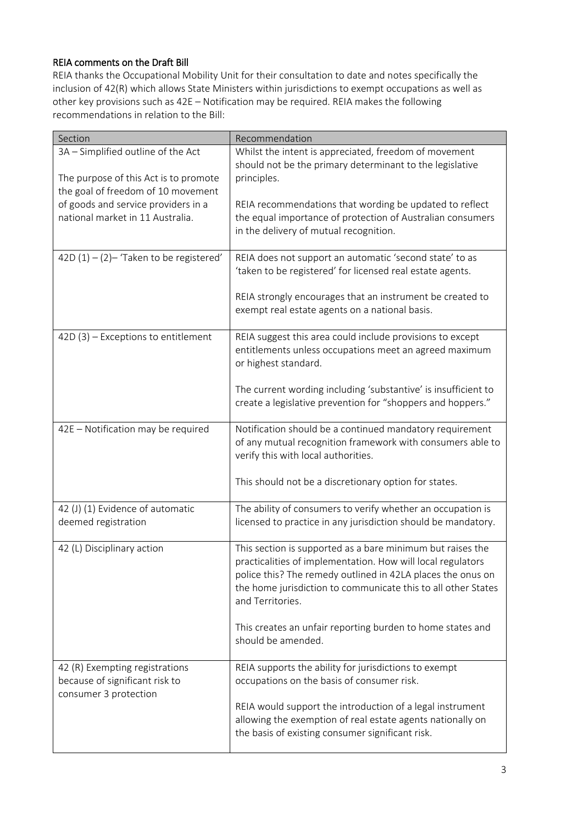# REIA comments on the Draft Bill

REIA thanks the Occupational Mobility Unit for their consultation to date and notes specifically the inclusion of 42(R) which allows State Ministers within jurisdictions to exempt occupations as well as other key provisions such as 42E – Notification may be required. REIA makes the following recommendations in relation to the Bill:

| Section                                                                                   | Recommendation                                                                                                                                                                                                                                                                |
|-------------------------------------------------------------------------------------------|-------------------------------------------------------------------------------------------------------------------------------------------------------------------------------------------------------------------------------------------------------------------------------|
| 3A - Simplified outline of the Act                                                        | Whilst the intent is appreciated, freedom of movement<br>should not be the primary determinant to the legislative                                                                                                                                                             |
| The purpose of this Act is to promote<br>the goal of freedom of 10 movement               | principles.                                                                                                                                                                                                                                                                   |
| of goods and service providers in a                                                       | REIA recommendations that wording be updated to reflect                                                                                                                                                                                                                       |
| national market in 11 Australia.                                                          | the equal importance of protection of Australian consumers<br>in the delivery of mutual recognition.                                                                                                                                                                          |
| 42D $(1) - (2)$ - 'Taken to be registered'                                                | REIA does not support an automatic 'second state' to as<br>'taken to be registered' for licensed real estate agents.                                                                                                                                                          |
|                                                                                           | REIA strongly encourages that an instrument be created to<br>exempt real estate agents on a national basis.                                                                                                                                                                   |
| $42D(3)$ – Exceptions to entitlement                                                      | REIA suggest this area could include provisions to except<br>entitlements unless occupations meet an agreed maximum<br>or highest standard.                                                                                                                                   |
|                                                                                           | The current wording including 'substantive' is insufficient to<br>create a legislative prevention for "shoppers and hoppers."                                                                                                                                                 |
| 42E - Notification may be required                                                        | Notification should be a continued mandatory requirement<br>of any mutual recognition framework with consumers able to<br>verify this with local authorities.                                                                                                                 |
|                                                                                           | This should not be a discretionary option for states.                                                                                                                                                                                                                         |
| 42 (J) (1) Evidence of automatic<br>deemed registration                                   | The ability of consumers to verify whether an occupation is<br>licensed to practice in any jurisdiction should be mandatory.                                                                                                                                                  |
| 42 (L) Disciplinary action                                                                | This section is supported as a bare minimum but raises the<br>practicalities of implementation. How will local regulators<br>police this? The remedy outlined in 42LA places the onus on<br>the home jurisdiction to communicate this to all other States<br>and Territories. |
|                                                                                           | This creates an unfair reporting burden to home states and<br>should be amended.                                                                                                                                                                                              |
| 42 (R) Exempting registrations<br>because of significant risk to<br>consumer 3 protection | REIA supports the ability for jurisdictions to exempt<br>occupations on the basis of consumer risk.                                                                                                                                                                           |
|                                                                                           | REIA would support the introduction of a legal instrument<br>allowing the exemption of real estate agents nationally on<br>the basis of existing consumer significant risk.                                                                                                   |